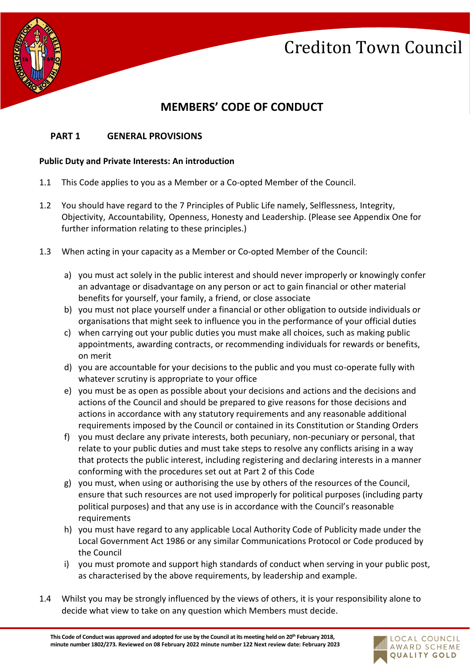

### **MEMBERS' CODE OF CONDUCT**

### **PART 1 GENERAL PROVISIONS**

### **Public Duty and Private Interests: An introduction**

- 1.1 This Code applies to you as a Member or a Co-opted Member of the Council.
- 1.2 You should have regard to the 7 Principles of Public Life namely, Selflessness, Integrity, Objectivity, Accountability, Openness, Honesty and Leadership. (Please see Appendix One for further information relating to these principles.)
- 1.3 When acting in your capacity as a Member or Co-opted Member of the Council:
	- a) you must act solely in the public interest and should never improperly or knowingly confer an advantage or disadvantage on any person or act to gain financial or other material benefits for yourself, your family, a friend, or close associate
	- b) you must not place yourself under a financial or other obligation to outside individuals or organisations that might seek to influence you in the performance of your official duties
	- c) when carrying out your public duties you must make all choices, such as making public appointments, awarding contracts, or recommending individuals for rewards or benefits, on merit
	- d) you are accountable for your decisions to the public and you must co-operate fully with whatever scrutiny is appropriate to your office
	- e) you must be as open as possible about your decisions and actions and the decisions and actions of the Council and should be prepared to give reasons for those decisions and actions in accordance with any statutory requirements and any reasonable additional requirements imposed by the Council or contained in its Constitution or Standing Orders
	- f) you must declare any private interests, both pecuniary, non-pecuniary or personal, that relate to your public duties and must take steps to resolve any conflicts arising in a way that protects the public interest, including registering and declaring interests in a manner conforming with the procedures set out at Part 2 of this Code
	- g) you must, when using or authorising the use by others of the resources of the Council, ensure that such resources are not used improperly for political purposes (including party political purposes) and that any use is in accordance with the Council's reasonable requirements
	- h) you must have regard to any applicable Local Authority Code of Publicity made under the Local Government Act 1986 or any similar Communications Protocol or Code produced by the Council
	- i) you must promote and support high standards of conduct when serving in your public post, as characterised by the above requirements, by leadership and example.
- 1.4 Whilst you may be strongly influenced by the views of others, it is your responsibility alone to decide what view to take on any question which Members must decide.

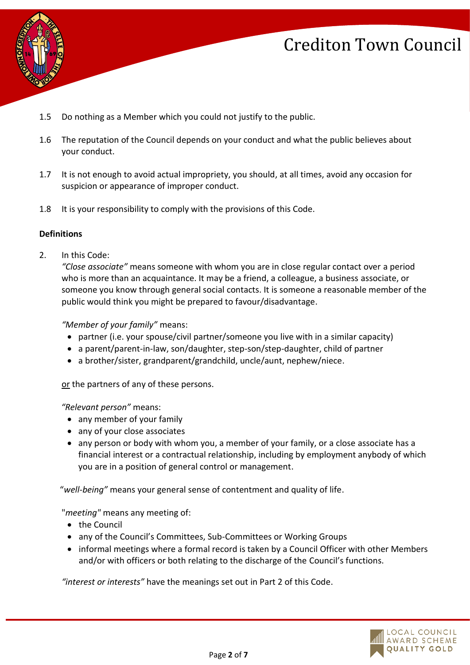



- 1.5 Do nothing as a Member which you could not justify to the public.
- 1.6 The reputation of the Council depends on your conduct and what the public believes about your conduct.
- 1.7 It is not enough to avoid actual impropriety, you should, at all times, avoid any occasion for suspicion or appearance of improper conduct.
- 1.8 It is your responsibility to comply with the provisions of this Code.

#### **Definitions**

2. In this Code:

*"Close associate"* means someone with whom you are in close regular contact over a period who is more than an acquaintance. It may be a friend, a colleague, a business associate, or someone you know through general social contacts. It is someone a reasonable member of the public would think you might be prepared to favour/disadvantage.

#### *"Member of your family"* means:

- partner (i.e. your spouse/civil partner/someone you live with in a similar capacity)
- a parent/parent-in-law, son/daughter, step-son/step-daughter, child of partner
- a brother/sister, grandparent/grandchild, uncle/aunt, nephew/niece.

or the partners of any of these persons.

#### *"Relevant person"* means:

- any member of your family
- any of your close associates
- any person or body with whom you, a member of your family, or a close associate has a financial interest or a contractual relationship, including by employment anybody of which you are in a position of general control or management.

"*well-being"* means your general sense of contentment and quality of life.

"*meeting"* means any meeting of:

- the Council
- any of the Council's Committees, Sub-Committees or Working Groups
- informal meetings where a formal record is taken by a Council Officer with other Members and/or with officers or both relating to the discharge of the Council's functions.

*"interest or interests"* have the meanings set out in Part 2 of this Code.

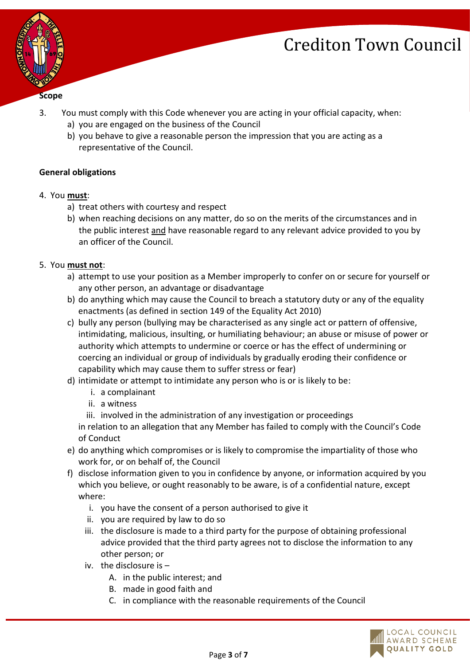

- 3. You must comply with this Code whenever you are acting in your official capacity, when:
	- a) you are engaged on the business of the Council
	- b) you behave to give a reasonable person the impression that you are acting as a representative of the Council.

### **General obligations**

- 4. You **must**:
	- a) treat others with courtesy and respect
	- b) when reaching decisions on any matter, do so on the merits of the circumstances and in the public interest and have reasonable regard to any relevant advice provided to you by an officer of the Council.
- 5. You **must not**:
	- a) attempt to use your position as a Member improperly to confer on or secure for yourself or any other person, an advantage or disadvantage
	- b) do anything which may cause the Council to breach a statutory duty or any of the equality enactments (as defined in section 149 of the Equality Act 2010)
	- c) bully any person (bullying may be characterised as any single act or pattern of offensive, intimidating, malicious, insulting, or humiliating behaviour; an abuse or misuse of power or authority which attempts to undermine or coerce or has the effect of undermining or coercing an individual or group of individuals by gradually eroding their confidence or capability which may cause them to suffer stress or fear)
	- d) intimidate or attempt to intimidate any person who is or is likely to be:
		- i. a complainant
		- ii. a witness

iii. involved in the administration of any investigation or proceedings

in relation to an allegation that any Member has failed to comply with the Council's Code of Conduct

- e) do anything which compromises or is likely to compromise the impartiality of those who work for, or on behalf of, the Council
- f) disclose information given to you in confidence by anyone, or information acquired by you which you believe, or ought reasonably to be aware, is of a confidential nature, except where:
	- i. you have the consent of a person authorised to give it
	- ii. you are required by law to do so
	- iii. the disclosure is made to a third party for the purpose of obtaining professional advice provided that the third party agrees not to disclose the information to any other person; or
	- iv. the disclosure is
		- A. in the public interest; and
		- B. made in good faith and
		- C. in compliance with the reasonable requirements of the Council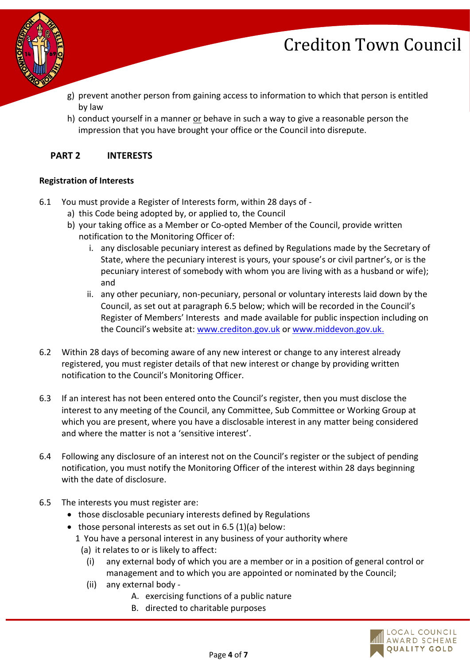

- g) prevent another person from gaining access to information to which that person is entitled by law
- h) conduct yourself in a manner or behave in such a way to give a reasonable person the impression that you have brought your office or the Council into disrepute.

### **PART 2 INTERESTS**

### **Registration of Interests**

- 6.1 You must provide a Register of Interests form, within 28 days of
	- a) this Code being adopted by, or applied to, the Council
	- b) your taking office as a Member or Co-opted Member of the Council, provide written notification to the Monitoring Officer of:
		- i. any disclosable pecuniary interest as defined by Regulations made by the Secretary of State, where the pecuniary interest is yours, your spouse's or civil partner's, or is the pecuniary interest of somebody with whom you are living with as a husband or wife); and
		- ii. any other pecuniary, non-pecuniary, personal or voluntary interests laid down by the Council, as set out at paragraph 6.5 below; which will be recorded in the Council's Register of Members' Interests and made available for public inspection including on the Council's website at: [www.crediton.gov.uk](http://www.crediton.gov.uk/) o[r www.middevon.gov.uk.](http://www.middevon.gov.uk/)
- 6.2 Within 28 days of becoming aware of any new interest or change to any interest already registered, you must register details of that new interest or change by providing written notification to the Council's Monitoring Officer.
- 6.3 If an interest has not been entered onto the Council's register, then you must disclose the interest to any meeting of the Council, any Committee, Sub Committee or Working Group at which you are present, where you have a disclosable interest in any matter being considered and where the matter is not a 'sensitive interest'.
- 6.4 Following any disclosure of an interest not on the Council's register or the subject of pending notification, you must notify the Monitoring Officer of the interest within 28 days beginning with the date of disclosure.
- 6.5 The interests you must register are:
	- those disclosable pecuniary interests defined by Regulations
	- those personal interests as set out in 6.5 (1)(a) below:
		- 1 You have a personal interest in any business of your authority where
			- (a) it relates to or is likely to affect:
				- (i) any external body of which you are a member or in a position of general control or management and to which you are appointed or nominated by the Council;
			- (ii) any external body
				- A. exercising functions of a public nature
				- B. directed to charitable purposes

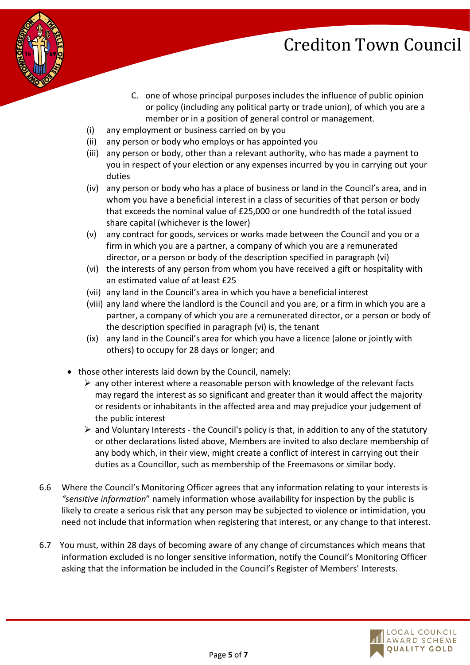- 
- C. one of whose principal purposes includes the influence of public opinion or policy (including any political party or trade union), of which you are a member or in a position of general control or management.
- (i) any employment or business carried on by you
- (ii) any person or body who employs or has appointed you
- (iii) any person or body, other than a relevant authority, who has made a payment to you in respect of your election or any expenses incurred by you in carrying out your duties
- (iv) any person or body who has a place of business or land in the Council's area, and in whom you have a beneficial interest in a class of securities of that person or body that exceeds the nominal value of £25,000 or one hundredth of the total issued share capital (whichever is the lower)
- (v) any contract for goods, services or works made between the Council and you or a firm in which you are a partner, a company of which you are a remunerated director, or a person or body of the description specified in paragraph (vi)
- (vi) the interests of any person from whom you have received a gift or hospitality with an estimated value of at least £25
- (vii) any land in the Council's area in which you have a beneficial interest
- (viii) any land where the landlord is the Council and you are, or a firm in which you are a partner, a company of which you are a remunerated director, or a person or body of the description specified in paragraph (vi) is, the tenant
- (ix) any land in the Council's area for which you have a licence (alone or jointly with others) to occupy for 28 days or longer; and
- those other interests laid down by the Council, namely:
	- $\triangleright$  any other interest where a reasonable person with knowledge of the relevant facts may regard the interest as so significant and greater than it would affect the majority or residents or inhabitants in the affected area and may prejudice your judgement of the public interest
	- $\triangleright$  and Voluntary Interests the Council's policy is that, in addition to any of the statutory or other declarations listed above, Members are invited to also declare membership of any body which, in their view, might create a conflict of interest in carrying out their duties as a Councillor, such as membership of the Freemasons or similar body.
- 6.6 Where the Council's Monitoring Officer agrees that any information relating to your interests is *"sensitive information*" namely information whose availability for inspection by the public is likely to create a serious risk that any person may be subjected to violence or intimidation, you need not include that information when registering that interest, or any change to that interest.
- 6.7 You must, within 28 days of becoming aware of any change of circumstances which means that information excluded is no longer sensitive information, notify the Council's Monitoring Officer asking that the information be included in the Council's Register of Members' Interests.

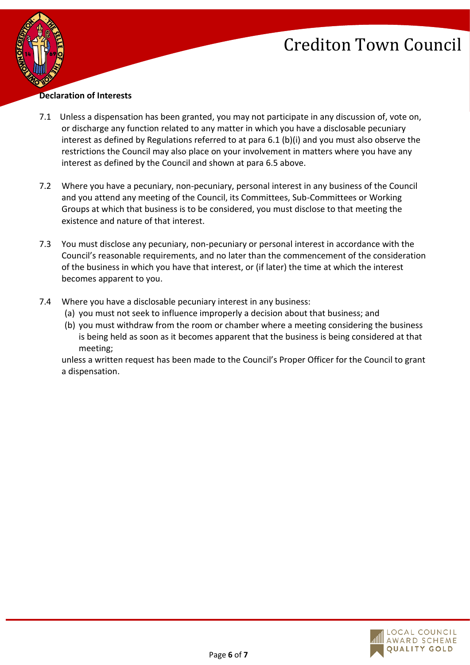

#### **Declaration of Interests**

- 7.1 Unless a dispensation has been granted, you may not participate in any discussion of, vote on, or discharge any function related to any matter in which you have a disclosable pecuniary interest as defined by Regulations referred to at para 6.1 (b)(i) and you must also observe the restrictions the Council may also place on your involvement in matters where you have any interest as defined by the Council and shown at para 6.5 above.
- 7.2 Where you have a pecuniary, non-pecuniary, personal interest in any business of the Council and you attend any meeting of the Council, its Committees, Sub-Committees or Working Groups at which that business is to be considered, you must disclose to that meeting the existence and nature of that interest.
- 7.3 You must disclose any pecuniary, non-pecuniary or personal interest in accordance with the Council's reasonable requirements, and no later than the commencement of the consideration of the business in which you have that interest, or (if later) the time at which the interest becomes apparent to you.
- 7.4 Where you have a disclosable pecuniary interest in any business:
	- (a) you must not seek to influence improperly a decision about that business; and
	- (b) you must withdraw from the room or chamber where a meeting considering the business is being held as soon as it becomes apparent that the business is being considered at that meeting;

unless a written request has been made to the Council's Proper Officer for the Council to grant a dispensation.